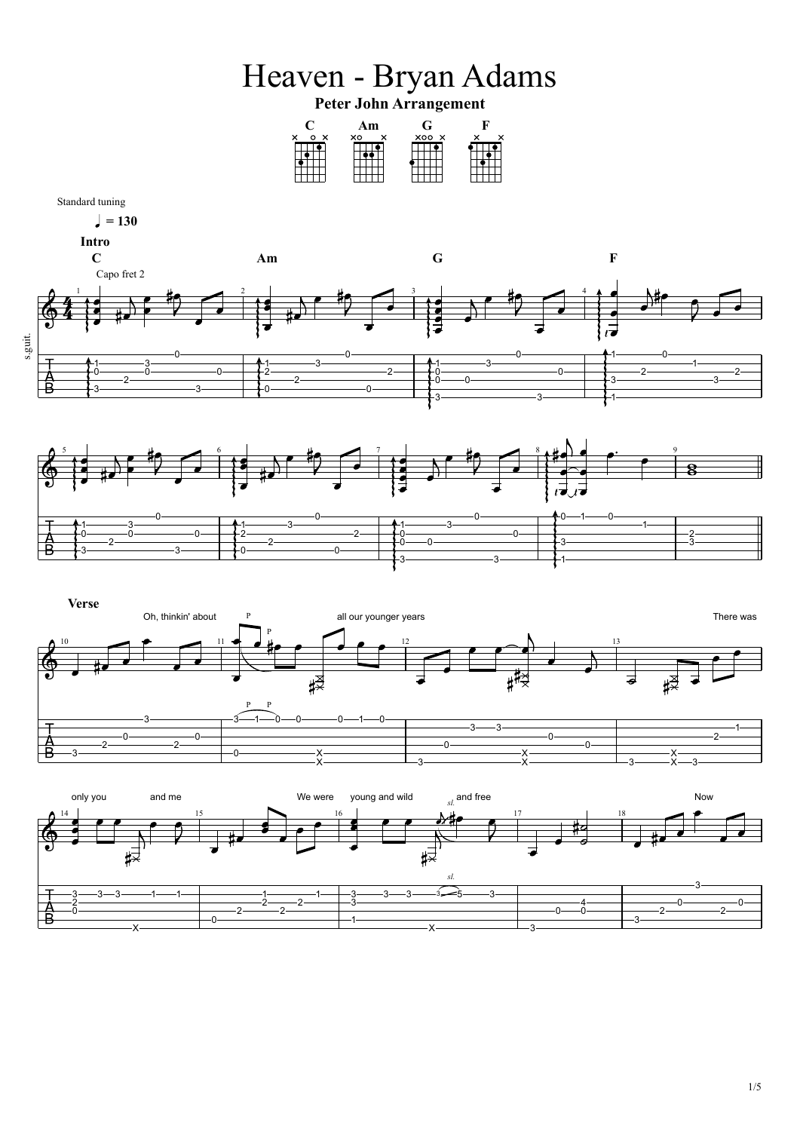## Heaven - Bryan Adams

## **Peter John Arrangement**



Standard tuning

 $= 130$ 







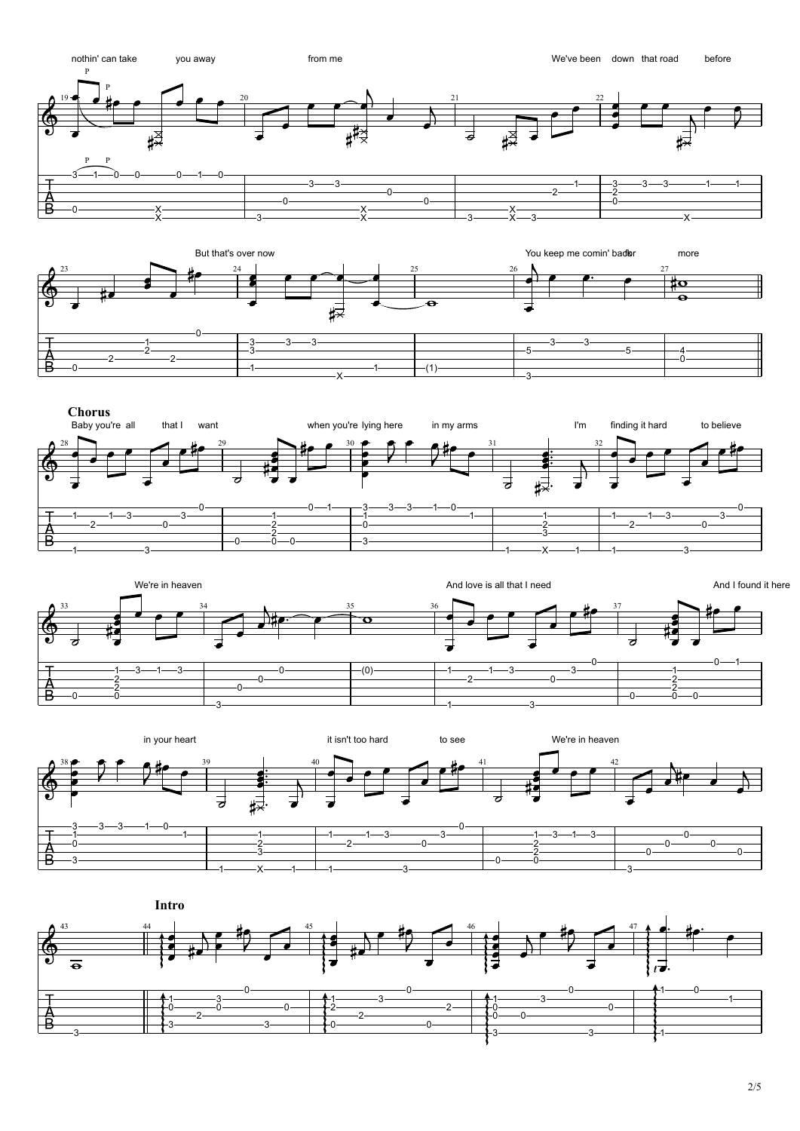2/5













**Intro**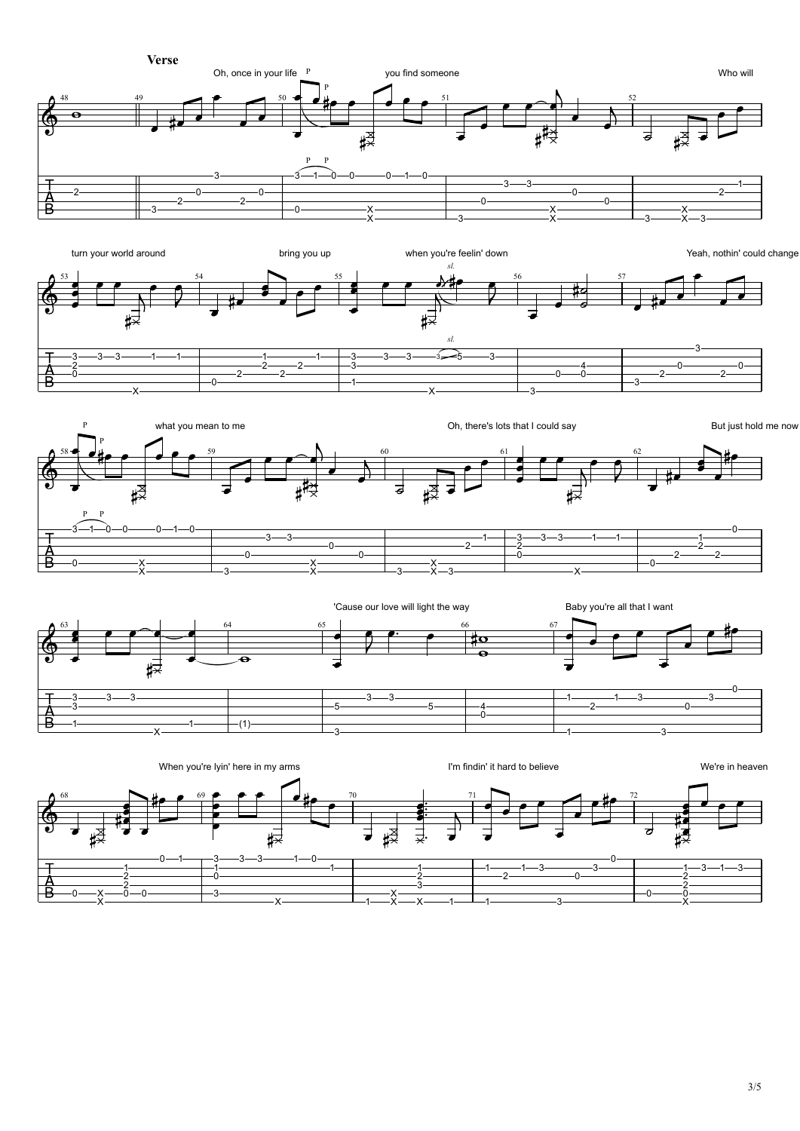









69 70 71 72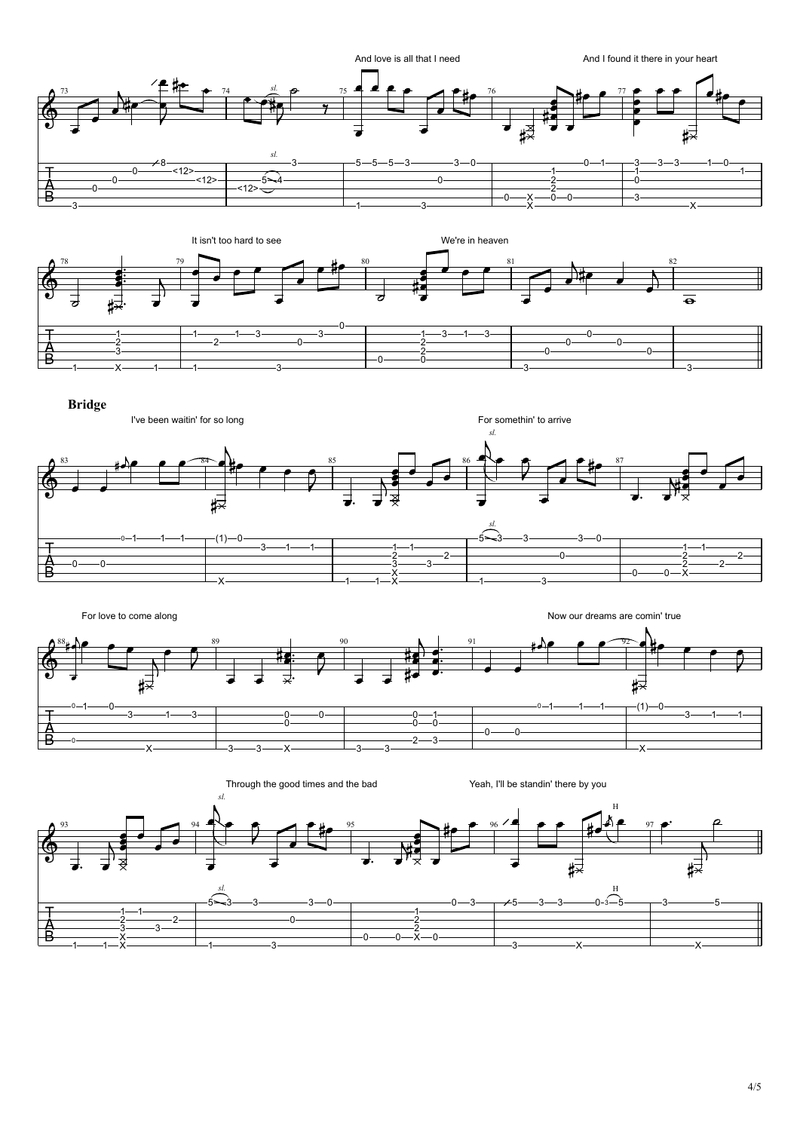







Through the good times and the bad Yeah, I'll be standin' there by you